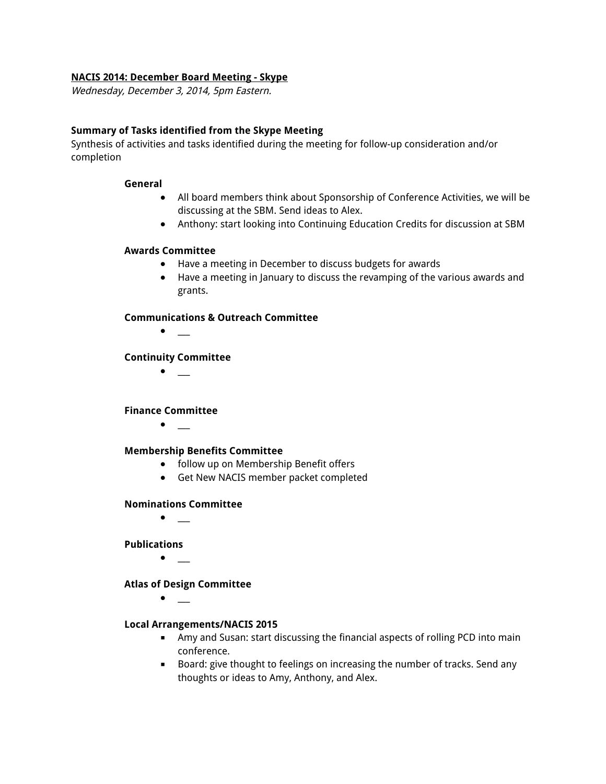### **NACIS 2014: December Board Meeting - Skype**

Wednesday, December 3, 2014, 5pm Eastern.

### **Summary of Tasks identified from the Skype Meeting**

Synthesis of activities and tasks identified during the meeting for follow-up consideration and/or completion

#### **General**

- All board members think about Sponsorship of Conference Activities, we will be discussing at the SBM. Send ideas to Alex.
- **●** Anthony: start looking into Continuing Education Credits for discussion at SBM

### **Awards Committee**

- Have a meeting in December to discuss budgets for awards
- **●** Have a meeting in January to discuss the revamping of the various awards and grants.

### **Communications & Outreach Committee**

 $\bullet$  \_

### **Continuity Committee**

 $\bullet$  \_

#### **Finance Committee**

● \_\_\_

#### **Membership Benefits Committee**

- follow up on Membership Benefit offers
- **●** Get New NACIS member packet completed

### **Nominations Committee**

**●** \_\_\_

### **Publications**

 $\bullet$  \_

### **Atlas of Design Committee**

● \_\_\_

### **Local Arrangements/NACIS 2015**

- Amy and Susan: start discussing the financial aspects of rolling PCD into main conference.
- Board: give thought to feelings on increasing the number of tracks. Send any thoughts or ideas to Amy, Anthony, and Alex.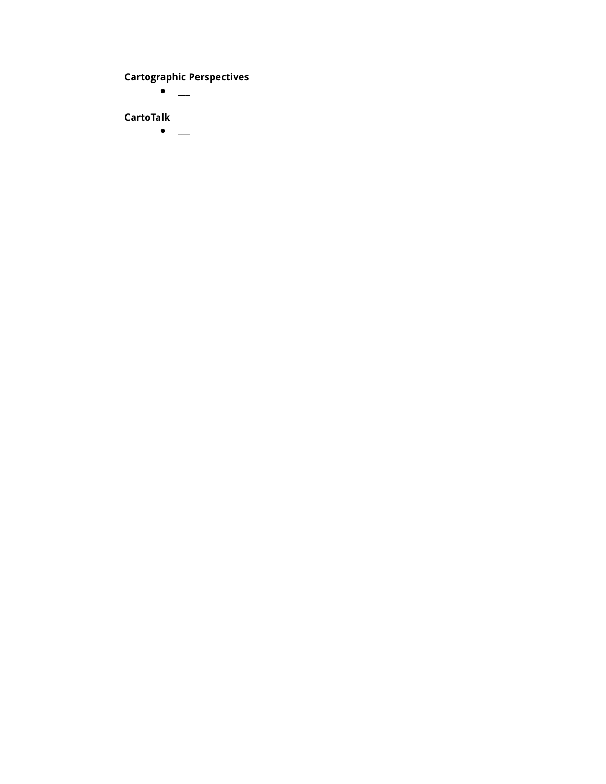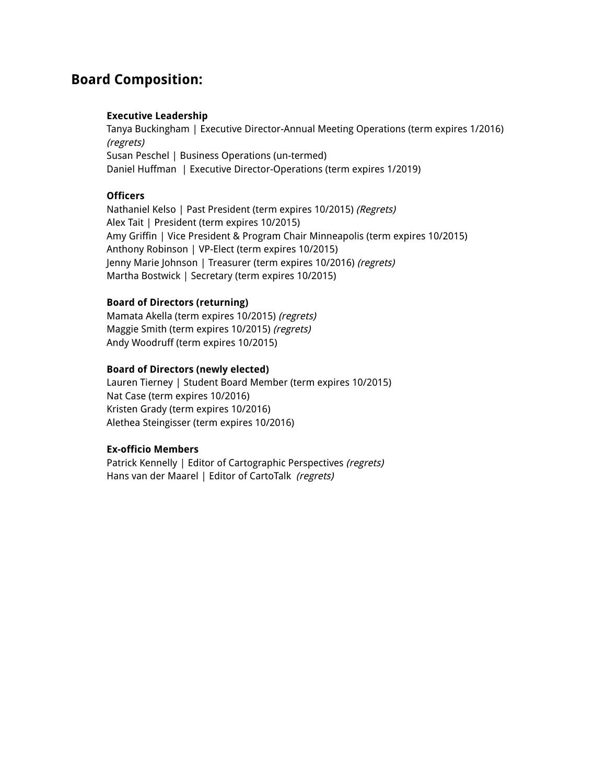# **Board Composition:**

### **Executive Leadership**

Tanya Buckingham | Executive Director-Annual Meeting Operations (term expires 1/2016) (regrets) Susan Peschel | Business Operations (un-termed) Daniel Huffman | Executive Director-Operations (term expires 1/2019)

# **Officers**

Nathaniel Kelso | Past President (term expires 10/2015) (Regrets) Alex Tait | President (term expires 10/2015) Amy Griffin | Vice President & Program Chair Minneapolis (term expires 10/2015) Anthony Robinson | VP-Elect (term expires 10/2015) Jenny Marie Johnson | Treasurer (term expires 10/2016) (regrets) Martha Bostwick | Secretary (term expires 10/2015)

# **Board of Directors (returning)**

Mamata Akella (term expires 10/2015) (regrets) Maggie Smith (term expires 10/2015) (regrets) Andy Woodruff (term expires 10/2015)

# **Board of Directors (newly elected)**

Lauren Tierney | Student Board Member (term expires 10/2015) Nat Case (term expires 10/2016) Kristen Grady (term expires 10/2016) Alethea Steingisser (term expires 10/2016)

# **Ex-officio Members**

Patrick Kennelly | Editor of Cartographic Perspectives (regrets) Hans van der Maarel | Editor of CartoTalk (regrets)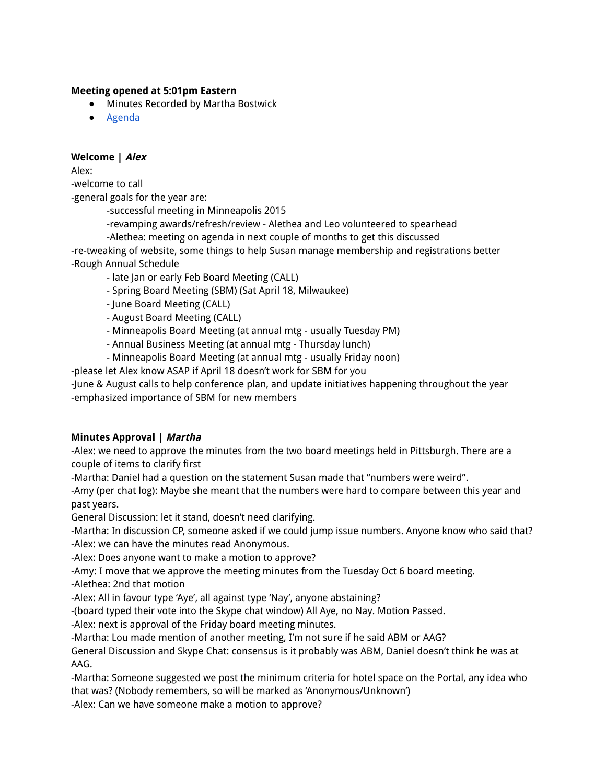### **Meeting opened at 5:01pm Eastern**

- Minutes Recorded by Martha Bostwick
- Agenda

# **Welcome | Alex**

Alex: -welcome to call

-general goals for the year are:

-successful meeting in Minneapolis 2015

- -revamping awards/refresh/review Alethea and Leo volunteered to spearhead
- -Alethea: meeting on agenda in next couple of months to get this discussed

-re-tweaking of website, some things to help Susan manage membership and registrations better -Rough Annual Schedule

- late Jan or early Feb Board Meeting (CALL)
- Spring Board Meeting (SBM) (Sat April 18, Milwaukee)
- June Board Meeting (CALL)
- August Board Meeting (CALL)
- Minneapolis Board Meeting (at annual mtg usually Tuesday PM)
- Annual Business Meeting (at annual mtg Thursday lunch)
- Minneapolis Board Meeting (at annual mtg usually Friday noon)
- -please let Alex know ASAP if April 18 doesn't work for SBM for you

-June & August calls to help conference plan, and update initiatives happening throughout the year -emphasized importance of SBM for new members

# **Minutes Approval | Martha**

-Alex: we need to approve the minutes from the two board meetings held in Pittsburgh. There are a couple of items to clarify first

-Martha: Daniel had a question on the statement Susan made that "numbers were weird".

-Amy (per chat log): Maybe she meant that the numbers were hard to compare between this year and past years.

General Discussion: let it stand, doesn't need clarifying.

-Martha: In discussion CP, someone asked if we could jump issue numbers. Anyone know who said that? -Alex: we can have the minutes read Anonymous.

-Alex: Does anyone want to make a motion to approve?

-Amy: I move that we approve the meeting minutes from the Tuesday Oct 6 board meeting.

-Alethea: 2nd that motion

-Alex: All in favour type 'Aye', all against type 'Nay', anyone abstaining?

-(board typed their vote into the Skype chat window) All Aye, no Nay. Motion Passed.

-Alex: next is approval of the Friday board meeting minutes.

-Martha: Lou made mention of another meeting, I'm not sure if he said ABM or AAG?

General Discussion and Skype Chat: consensus is it probably was ABM, Daniel doesn't think he was at AAG.

-Martha: Someone suggested we post the minimum criteria for hotel space on the Portal, any idea who that was? (Nobody remembers, so will be marked as 'Anonymous/Unknown')

-Alex: Can we have someone make a motion to approve?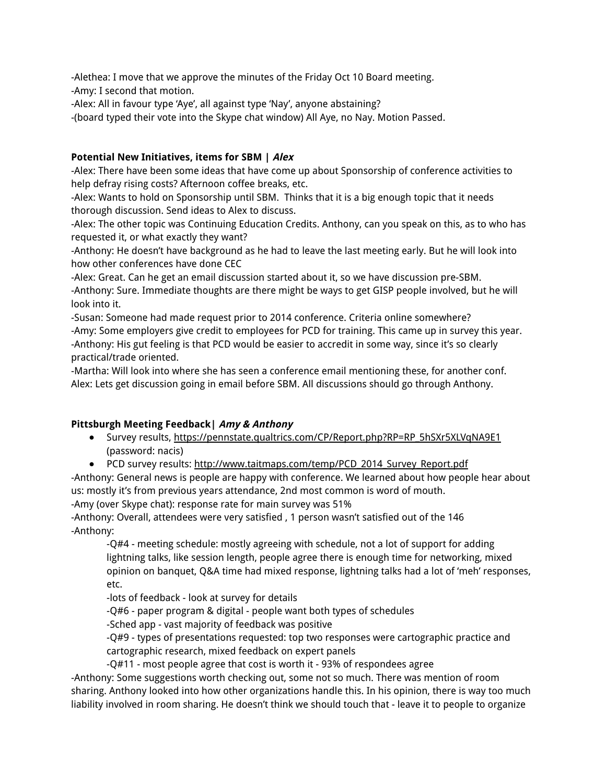-Alethea: I move that we approve the minutes of the Friday Oct 10 Board meeting. -Amy: I second that motion.

-Alex: All in favour type 'Aye', all against type 'Nay', anyone abstaining?

-(board typed their vote into the Skype chat window) All Aye, no Nay. Motion Passed.

# **Potential New Initiatives, items for SBM | Alex**

-Alex: There have been some ideas that have come up about Sponsorship of conference activities to help defray rising costs? Afternoon coffee breaks, etc.

-Alex: Wants to hold on Sponsorship until SBM. Thinks that it is a big enough topic that it needs thorough discussion. Send ideas to Alex to discuss.

-Alex: The other topic was Continuing Education Credits. Anthony, can you speak on this, as to who has requested it, or what exactly they want?

-Anthony: He doesn't have background as he had to leave the last meeting early. But he will look into how other conferences have done CEC

-Alex: Great. Can he get an email discussion started about it, so we have discussion pre-SBM. -Anthony: Sure. Immediate thoughts are there might be ways to get GISP people involved, but he will look into it.

-Susan: Someone had made request prior to 2014 conference. Criteria online somewhere? -Amy: Some employers give credit to employees for PCD for training. This came up in survey this year. -Anthony: His gut feeling is that PCD would be easier to accredit in some way, since it's so clearly practical/trade oriented.

-Martha: Will look into where she has seen a conference email mentioning these, for another conf. Alex: Lets get discussion going in email before SBM. All discussions should go through Anthony.

# **Pittsburgh Meeting Feedback| Amy & Anthony**

- Survey results, https://pennstate.qualtrics.com/CP/Report.php?RP=RP\_5hSXr5XLVqNA9E1 (password: nacis)
- PCD survey results: http://www.taitmaps.com/temp/PCD\_2014\_Survey\_Report.pdf

-Anthony: General news is people are happy with conference. We learned about how people hear about us: mostly it's from previous years attendance, 2nd most common is word of mouth.

-Amy (over Skype chat): response rate for main survey was 51%

-Anthony: Overall, attendees were very satisfied , 1 person wasn't satisfied out of the 146 -Anthony:

-Q#4 - meeting schedule: mostly agreeing with schedule, not a lot of support for adding lightning talks, like session length, people agree there is enough time for networking, mixed opinion on banquet, Q&A time had mixed response, lightning talks had a lot of 'meh' responses, etc.

-lots of feedback - look at survey for details

-Q#6 - paper program & digital - people want both types of schedules

-Sched app - vast majority of feedback was positive

-Q#9 - types of presentations requested: top two responses were cartographic practice and cartographic research, mixed feedback on expert panels

-Q#11 - most people agree that cost is worth it - 93% of respondees agree

-Anthony: Some suggestions worth checking out, some not so much. There was mention of room sharing. Anthony looked into how other organizations handle this. In his opinion, there is way too much liability involved in room sharing. He doesn't think we should touch that - leave it to people to organize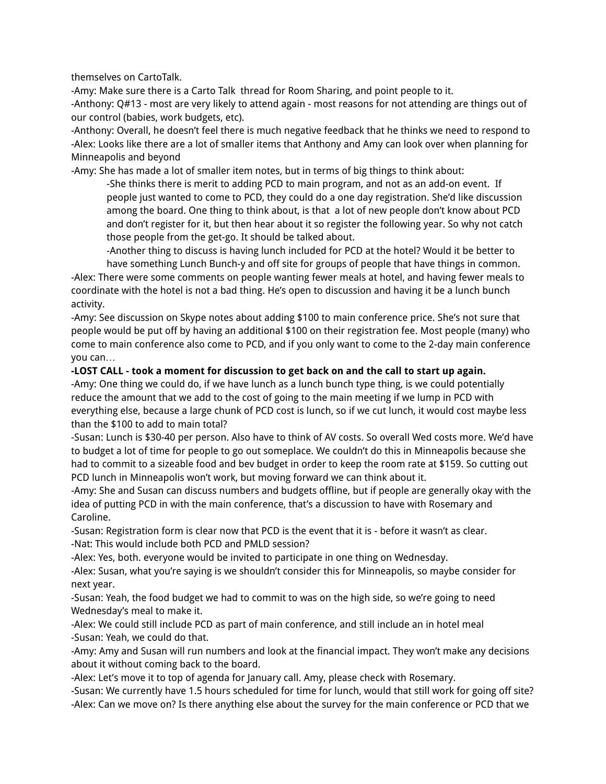themselves on CartoTalk.

-Amy: Make sure there is a Carto Talk thread for Room Sharing, and point people to it.

-Anthony: Q#13 - most are very likely to attend again - most reasons for not attending are things out of our control (babies, work budgets, etc).

-Anthony: Overall, he doesn't feel there is much negative feedback that he thinks we need to respond to -Alex: Looks like there are a lot of smaller items that Anthony and Amy can look over when planning for Minneapolis and beyond

-Amy: She has made a lot of smaller item notes, but in terms of big things to think about:

-She thinks there is merit to adding PCD to main program, and not as an add-on event. If people just wanted to come to PCD, they could do a one day registration. She'd like discussion among the board. One thing to think about, is that a lot of new people don't know about PCD and don't register for it, but then hear about it so register the following year. So why not catch those people from the get-go. It should be talked about.

-Another thing to discuss is having lunch included for PCD at the hotel? Would it be better to have something Lunch Bunch-y and off site for groups of people that have things in common.

-Alex: There were some comments on people wanting fewer meals at hotel, and having fewer meals to coordinate with the hotel is not a bad thing. He's open to discussion and having it be a lunch bunch activity.

-Amy: See discussion on Skype notes about adding \$100 to main conference price. She's not sure that people would be put off by having an additional \$100 on their registration fee. Most people (many) who come to main conference also come to PCD, and if you only want to come to the 2-day main conference you can…

### **-LOST CALL - took a moment for discussion to get back on and the call to start up again.**

-Amy: One thing we could do, if we have lunch as a lunch bunch type thing, is we could potentially reduce the amount that we add to the cost of going to the main meeting if we lump in PCD with everything else, because a large chunk of PCD cost is lunch, so if we cut lunch, it would cost maybe less than the \$100 to add to main total?

-Susan: Lunch is \$30-40 per person. Also have to think of AV costs. So overall Wed costs more. We'd have to budget a lot of time for people to go out someplace. We couldn't do this in Minneapolis because she had to commit to a sizeable food and bev budget in order to keep the room rate at \$159. So cutting out PCD lunch in Minneapolis won't work, but moving forward we can think about it.

-Amy: She and Susan can discuss numbers and budgets offline, but if people are generally okay with the idea of putting PCD in with the main conference, that's a discussion to have with Rosemary and Caroline.

-Susan: Registration form is clear now that PCD is the event that it is - before it wasn't as clear. -Nat: This would include both PCD and PMLD session?

-Alex: Yes, both. everyone would be invited to participate in one thing on Wednesday.

-Alex: Susan, what you're saying is we shouldn't consider this for Minneapolis, so maybe consider for next year.

-Susan: Yeah, the food budget we had to commit to was on the high side, so we're going to need Wednesday's meal to make it.

-Alex: We could still include PCD as part of main conference, and still include an in hotel meal -Susan: Yeah, we could do that.

-Amy: Amy and Susan will run numbers and look at the financial impact. They won't make any decisions about it without coming back to the board.

-Alex: Let's move it to top of agenda for January call. Amy, please check with Rosemary.

-Susan: We currently have 1.5 hours scheduled for time for lunch, would that still work for going off site? -Alex: Can we move on? Is there anything else about the survey for the main conference or PCD that we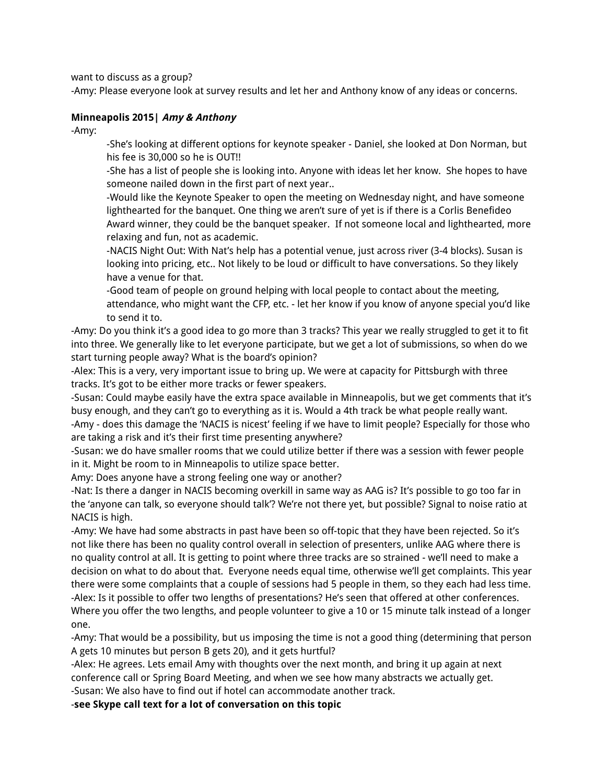want to discuss as a group?

-Amy: Please everyone look at survey results and let her and Anthony know of any ideas or concerns.

### **Minneapolis 2015| Amy & Anthony**

-Amy:

-She's looking at different options for keynote speaker - Daniel, she looked at Don Norman, but his fee is 30,000 so he is OUT!!

-She has a list of people she is looking into. Anyone with ideas let her know. She hopes to have someone nailed down in the first part of next year..

-Would like the Keynote Speaker to open the meeting on Wednesday night, and have someone lighthearted for the banquet. One thing we aren't sure of yet is if there is a Corlis Benefideo Award winner, they could be the banquet speaker. If not someone local and lighthearted, more relaxing and fun, not as academic.

-NACIS Night Out: With Nat's help has a potential venue, just across river (3-4 blocks). Susan is looking into pricing, etc.. Not likely to be loud or difficult to have conversations. So they likely have a venue for that.

-Good team of people on ground helping with local people to contact about the meeting, attendance, who might want the CFP, etc. - let her know if you know of anyone special you'd like to send it to.

-Amy: Do you think it's a good idea to go more than 3 tracks? This year we really struggled to get it to fit into three. We generally like to let everyone participate, but we get a lot of submissions, so when do we start turning people away? What is the board's opinion?

-Alex: This is a very, very important issue to bring up. We were at capacity for Pittsburgh with three tracks. It's got to be either more tracks or fewer speakers.

-Susan: Could maybe easily have the extra space available in Minneapolis, but we get comments that it's busy enough, and they can't go to everything as it is. Would a 4th track be what people really want.

-Amy - does this damage the 'NACIS is nicest' feeling if we have to limit people? Especially for those who are taking a risk and it's their first time presenting anywhere?

-Susan: we do have smaller rooms that we could utilize better if there was a session with fewer people in it. Might be room to in Minneapolis to utilize space better.

Amy: Does anyone have a strong feeling one way or another?

-Nat: Is there a danger in NACIS becoming overkill in same way as AAG is? It's possible to go too far in the 'anyone can talk, so everyone should talk'? We're not there yet, but possible? Signal to noise ratio at NACIS is high.

-Amy: We have had some abstracts in past have been so off-topic that they have been rejected. So it's not like there has been no quality control overall in selection of presenters, unlike AAG where there is no quality control at all. It is getting to point where three tracks are so strained - we'll need to make a decision on what to do about that. Everyone needs equal time, otherwise we'll get complaints. This year there were some complaints that a couple of sessions had 5 people in them, so they each had less time. -Alex: Is it possible to offer two lengths of presentations? He's seen that offered at other conferences. Where you offer the two lengths, and people volunteer to give a 10 or 15 minute talk instead of a longer one.

-Amy: That would be a possibility, but us imposing the time is not a good thing (determining that person A gets 10 minutes but person B gets 20), and it gets hurtful?

-Alex: He agrees. Lets email Amy with thoughts over the next month, and bring it up again at next conference call or Spring Board Meeting, and when we see how many abstracts we actually get. -Susan: We also have to find out if hotel can accommodate another track.

-**see Skype call text for a lot of conversation on this topic**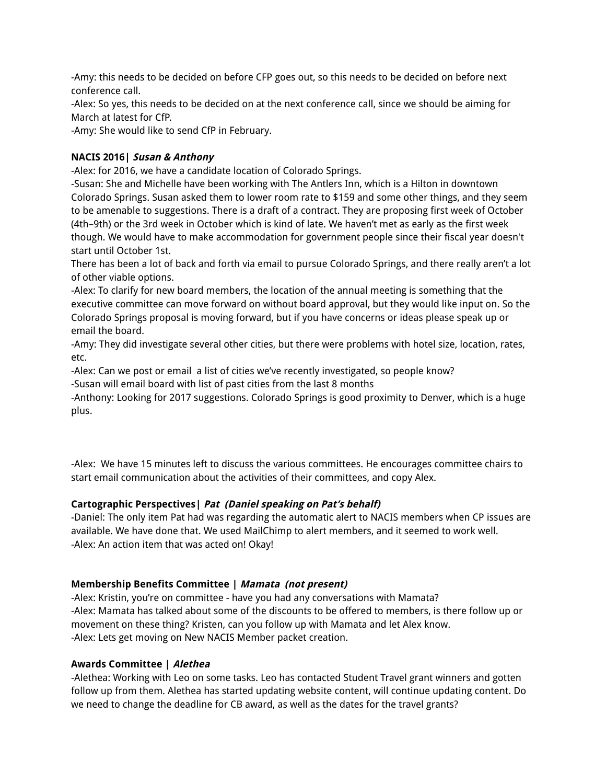-Amy: this needs to be decided on before CFP goes out, so this needs to be decided on before next conference call.

-Alex: So yes, this needs to be decided on at the next conference call, since we should be aiming for March at latest for CfP.

-Amy: She would like to send CfP in February.

# **NACIS 2016| Susan & Anthony**

-Alex: for 2016, we have a candidate location of Colorado Springs.

-Susan: She and Michelle have been working with The Antlers Inn, which is a Hilton in downtown Colorado Springs. Susan asked them to lower room rate to \$159 and some other things, and they seem to be amenable to suggestions. There is a draft of a contract. They are proposing first week of October (4th–9th) or the 3rd week in October which is kind of late. We haven't met as early as the first week though. We would have to make accommodation for government people since their fiscal year doesn't start until October 1st.

There has been a lot of back and forth via email to pursue Colorado Springs, and there really aren't a lot of other viable options.

-Alex: To clarify for new board members, the location of the annual meeting is something that the executive committee can move forward on without board approval, but they would like input on. So the Colorado Springs proposal is moving forward, but if you have concerns or ideas please speak up or email the board.

-Amy: They did investigate several other cities, but there were problems with hotel size, location, rates, etc.

-Alex: Can we post or email a list of cities we've recently investigated, so people know?

-Susan will email board with list of past cities from the last 8 months

-Anthony: Looking for 2017 suggestions. Colorado Springs is good proximity to Denver, which is a huge plus.

-Alex: We have 15 minutes left to discuss the various committees. He encourages committee chairs to start email communication about the activities of their committees, and copy Alex.

# **Cartographic Perspectives| Pat (Daniel speaking on Pat's behalf)**

-Daniel: The only item Pat had was regarding the automatic alert to NACIS members when CP issues are available. We have done that. We used MailChimp to alert members, and it seemed to work well. -Alex: An action item that was acted on! Okay!

# **Membership Benefits Committee | Mamata (not present)**

-Alex: Kristin, you're on committee - have you had any conversations with Mamata? -Alex: Mamata has talked about some of the discounts to be offered to members, is there follow up or movement on these thing? Kristen, can you follow up with Mamata and let Alex know. -Alex: Lets get moving on New NACIS Member packet creation.

### **Awards Committee | Alethea**

-Alethea: Working with Leo on some tasks. Leo has contacted Student Travel grant winners and gotten follow up from them. Alethea has started updating website content, will continue updating content. Do we need to change the deadline for CB award, as well as the dates for the travel grants?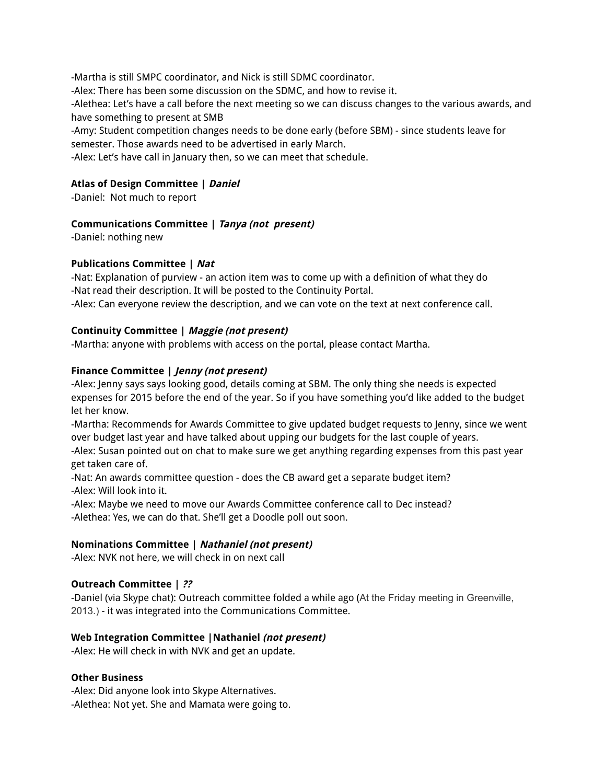-Martha is still SMPC coordinator, and Nick is still SDMC coordinator. -Alex: There has been some discussion on the SDMC, and how to revise it. -Alethea: Let's have a call before the next meeting so we can discuss changes to the various awards, and have something to present at SMB -Amy: Student competition changes needs to be done early (before SBM) - since students leave for

semester. Those awards need to be advertised in early March.

-Alex: Let's have call in January then, so we can meet that schedule.

### **Atlas of Design Committee | Daniel**

-Daniel: Not much to report

### **Communications Committee | Tanya (not present)**

-Daniel: nothing new

### **Publications Committee | Nat**

-Nat: Explanation of purview - an action item was to come up with a definition of what they do -Nat read their description. It will be posted to the Continuity Portal.

-Alex: Can everyone review the description, and we can vote on the text at next conference call.

### **Continuity Committee | Maggie (not present)**

-Martha: anyone with problems with access on the portal, please contact Martha.

### **Finance Committee | Jenny (not present)**

-Alex: Jenny says says looking good, details coming at SBM. The only thing she needs is expected expenses for 2015 before the end of the year. So if you have something you'd like added to the budget let her know.

-Martha: Recommends for Awards Committee to give updated budget requests to Jenny, since we went over budget last year and have talked about upping our budgets for the last couple of years. -Alex: Susan pointed out on chat to make sure we get anything regarding expenses from this past year

get taken care of.

-Nat: An awards committee question - does the CB award get a separate budget item? -Alex: Will look into it.

-Alex: Maybe we need to move our Awards Committee conference call to Dec instead? -Alethea: Yes, we can do that. She'll get a Doodle poll out soon.

### **Nominations Committee | Nathaniel (not present)**

-Alex: NVK not here, we will check in on next call

### **Outreach Committee | ??**

-Daniel (via Skype chat): Outreach committee folded a while ago (At the Friday meeting in Greenville, 2013.) - it was integrated into the Communications Committee.

### **Web Integration Committee |Nathaniel (not present)**

-Alex: He will check in with NVK and get an update.

### **Other Business**

-Alex: Did anyone look into Skype Alternatives. -Alethea: Not yet. She and Mamata were going to.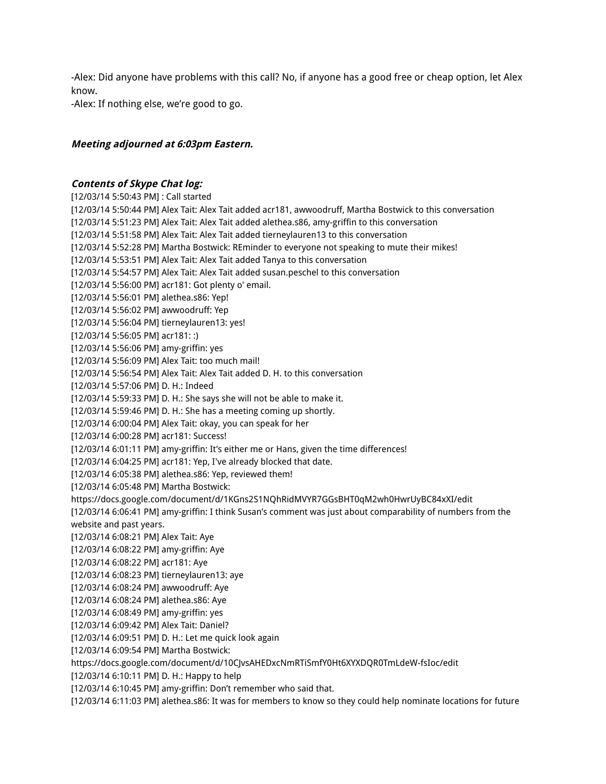-Alex: Did anyone have problems with this call? No, if anyone has a good free or cheap option, let Alex know.

-Alex: If nothing else, we're good to go.

#### **Meeting adjourned at 6:03pm Eastern.**

#### **Contents of Skype Chat log:**

[12/03/14 5:50:43 PM] : Call started [12/03/14 5:50:44 PM] Alex Tait: Alex Tait added acr181, awwoodruff, Martha Bostwick to this conversation [12/03/14 5:51:23 PM] Alex Tait: Alex Tait added alethea.s86, amy-griffin to this conversation [12/03/14 5:51:58 PM] Alex Tait: Alex Tait added tierneylauren13 to this conversation [12/03/14 5:52:28 PM] Martha Bostwick: REminder to everyone not speaking to mute their mikes! [12/03/14 5:53:51 PM] Alex Tait: Alex Tait added Tanya to this conversation [12/03/14 5:54:57 PM] Alex Tait: Alex Tait added susan.peschel to this conversation [12/03/14 5:56:00 PM] acr181: Got plenty o' email. [12/03/14 5:56:01 PM] alethea.s86: Yep! [12/03/14 5:56:02 PM] awwoodruff: Yep [12/03/14 5:56:04 PM] tierneylauren13: yes! [12/03/14 5:56:05 PM] acr181: :) [12/03/14 5:56:06 PM] amy-griffin: yes [12/03/14 5:56:09 PM] Alex Tait: too much mail! [12/03/14 5:56:54 PM] Alex Tait: Alex Tait added D. H. to this conversation [12/03/14 5:57:06 PM] D. H.: Indeed [12/03/14 5:59:33 PM] D. H.: She says she will not be able to make it. [12/03/14 5:59:46 PM] D. H.: She has a meeting coming up shortly. [12/03/14 6:00:04 PM] Alex Tait: okay, you can speak for her [12/03/14 6:00:28 PM] acr181: Success! [12/03/14 6:01:11 PM] amy-griffin: It's either me or Hans, given the time differences! [12/03/14 6:04:25 PM] acr181: Yep, I've already blocked that date. [12/03/14 6:05:38 PM] alethea.s86: Yep, reviewed them! [12/03/14 6:05:48 PM] Martha Bostwick: https://docs.google.com/document/d/1KGns2S1NQhRidMVYR7GGsBHT0qM2wh0HwrUyBC84xXI/edit [12/03/14 6:06:41 PM] amy-griffin: I think Susan's comment was just about comparability of numbers from the website and past years. [12/03/14 6:08:21 PM] Alex Tait: Aye [12/03/14 6:08:22 PM] amy-griffin: Aye [12/03/14 6:08:22 PM] acr181: Aye [12/03/14 6:08:23 PM] tierneylauren13: aye [12/03/14 6:08:24 PM] awwoodruff: Aye [12/03/14 6:08:24 PM] alethea.s86: Aye [12/03/14 6:08:49 PM] amy-griffin: yes [12/03/14 6:09:42 PM] Alex Tait: Daniel? [12/03/14 6:09:51 PM] D. H.: Let me quick look again [12/03/14 6:09:54 PM] Martha Bostwick: https://docs.google.com/document/d/10CJvsAHEDxcNmRTiSmfY0Ht6XYXDQR0TmLdeW-fsIoc/edit [12/03/14 6:10:11 PM] D. H.: Happy to help [12/03/14 6:10:45 PM] amy-griffin: Don't remember who said that.

[12/03/14 6:11:03 PM] alethea.s86: It was for members to know so they could help nominate locations for future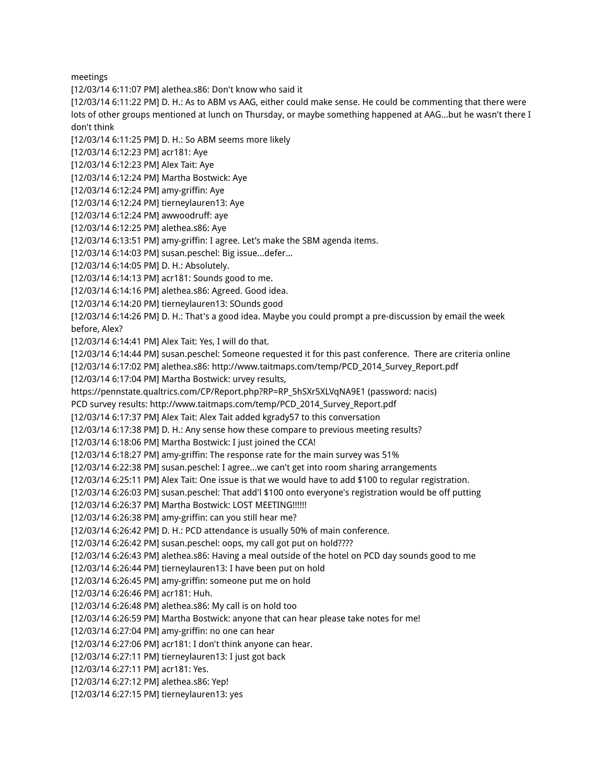meetings

[12/03/14 6:11:07 PM] alethea.s86: Don't know who said it

[12/03/14 6:11:22 PM] D. H.: As to ABM vs AAG, either could make sense. He could be commenting that there were lots of other groups mentioned at lunch on Thursday, or maybe something happened at AAG...but he wasn't there I don't think

[12/03/14 6:11:25 PM] D. H.: So ABM seems more likely

[12/03/14 6:12:23 PM] acr181: Aye

[12/03/14 6:12:23 PM] Alex Tait: Aye

[12/03/14 6:12:24 PM] Martha Bostwick: Aye

[12/03/14 6:12:24 PM] amy-griffin: Aye

[12/03/14 6:12:24 PM] tierneylauren13: Aye

[12/03/14 6:12:24 PM] awwoodruff: aye

[12/03/14 6:12:25 PM] alethea.s86: Aye

[12/03/14 6:13:51 PM] amy-griffin: I agree. Let's make the SBM agenda items.

[12/03/14 6:14:03 PM] susan.peschel: Big issue...defer...

[12/03/14 6:14:05 PM] D. H.: Absolutely.

[12/03/14 6:14:13 PM] acr181: Sounds good to me.

[12/03/14 6:14:16 PM] alethea.s86: Agreed. Good idea.

[12/03/14 6:14:20 PM] tierneylauren13: SOunds good

[12/03/14 6:14:26 PM] D. H.: That's a good idea. Maybe you could prompt a pre-discussion by email the week before, Alex?

[12/03/14 6:14:41 PM] Alex Tait: Yes, I will do that.

[12/03/14 6:14:44 PM] susan.peschel: Someone requested it for this past conference. There are criteria online

[12/03/14 6:17:02 PM] alethea.s86: http://www.taitmaps.com/temp/PCD\_2014\_Survey\_Report.pdf

[12/03/14 6:17:04 PM] Martha Bostwick: urvey results,

https://pennstate.qualtrics.com/CP/Report.php?RP=RP\_5hSXr5XLVqNA9E1 (password: nacis)

PCD survey results: http://www.taitmaps.com/temp/PCD\_2014\_Survey\_Report.pdf

[12/03/14 6:17:37 PM] Alex Tait: Alex Tait added kgrady57 to this conversation

[12/03/14 6:17:38 PM] D. H.: Any sense how these compare to previous meeting results?

[12/03/14 6:18:06 PM] Martha Bostwick: I just joined the CCA!

[12/03/14 6:18:27 PM] amy-griffin: The response rate for the main survey was 51%

[12/03/14 6:22:38 PM] susan.peschel: I agree...we can't get into room sharing arrangements

[12/03/14 6:25:11 PM] Alex Tait: One issue is that we would have to add \$100 to regular registration.

[12/03/14 6:26:03 PM] susan.peschel: That add'l \$100 onto everyone's registration would be off putting

[12/03/14 6:26:37 PM] Martha Bostwick: LOST MEETING!!!!!!

[12/03/14 6:26:38 PM] amy-griffin: can you still hear me?

[12/03/14 6:26:42 PM] D. H.: PCD attendance is usually 50% of main conference.

[12/03/14 6:26:42 PM] susan.peschel: oops, my call got put on hold????

[12/03/14 6:26:43 PM] alethea.s86: Having a meal outside of the hotel on PCD day sounds good to me

[12/03/14 6:26:44 PM] tierneylauren13: I have been put on hold

[12/03/14 6:26:45 PM] amy-griffin: someone put me on hold

[12/03/14 6:26:46 PM] acr181: Huh.

[12/03/14 6:26:48 PM] alethea.s86: My call is on hold too

[12/03/14 6:26:59 PM] Martha Bostwick: anyone that can hear please take notes for me!

[12/03/14 6:27:04 PM] amy-griffin: no one can hear

[12/03/14 6:27:06 PM] acr181: I don't think anyone can hear.

[12/03/14 6:27:11 PM] tierneylauren13: I just got back

[12/03/14 6:27:11 PM] acr181: Yes.

[12/03/14 6:27:12 PM] alethea.s86: Yep!

[12/03/14 6:27:15 PM] tierneylauren13: yes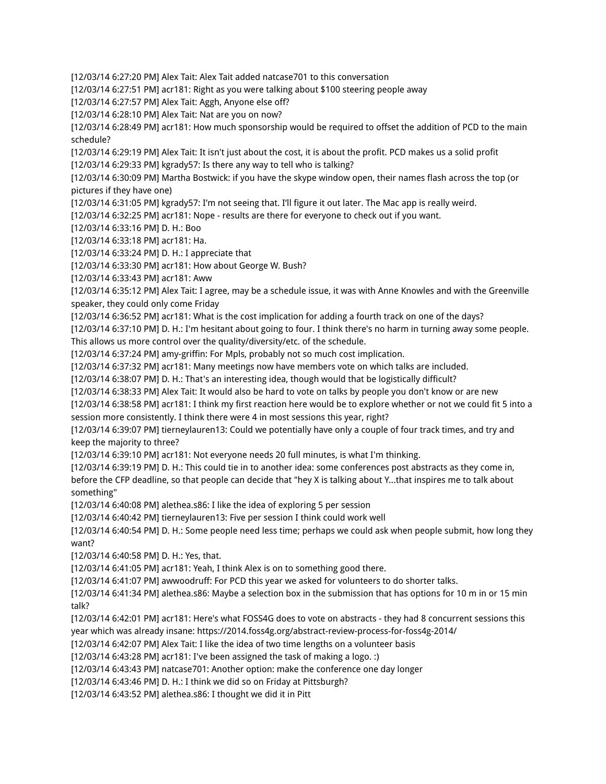[12/03/14 6:27:20 PM] Alex Tait: Alex Tait added natcase701 to this conversation

[12/03/14 6:27:51 PM] acr181: Right as you were talking about \$100 steering people away

[12/03/14 6:27:57 PM] Alex Tait: Aggh, Anyone else off?

[12/03/14 6:28:10 PM] Alex Tait: Nat are you on now?

[12/03/14 6:28:49 PM] acr181: How much sponsorship would be required to offset the addition of PCD to the main schedule?

[12/03/14 6:29:19 PM] Alex Tait: It isn't just about the cost, it is about the profit. PCD makes us a solid profit [12/03/14 6:29:33 PM] kgrady57: Is there any way to tell who is talking?

[12/03/14 6:30:09 PM] Martha Bostwick: if you have the skype window open, their names flash across the top (or pictures if they have one)

[12/03/14 6:31:05 PM] kgrady57: I'm not seeing that. I'll figure it out later. The Mac app is really weird.

[12/03/14 6:32:25 PM] acr181: Nope - results are there for everyone to check out if you want.

[12/03/14 6:33:16 PM] D. H.: Boo

[12/03/14 6:33:18 PM] acr181: Ha.

[12/03/14 6:33:24 PM] D. H.: I appreciate that

[12/03/14 6:33:30 PM] acr181: How about George W. Bush?

[12/03/14 6:33:43 PM] acr181: Aww

[12/03/14 6:35:12 PM] Alex Tait: I agree, may be a schedule issue, it was with Anne Knowles and with the Greenville speaker, they could only come Friday

[12/03/14 6:36:52 PM] acr181: What is the cost implication for adding a fourth track on one of the days?

[12/03/14 6:37:10 PM] D. H.: I'm hesitant about going to four. I think there's no harm in turning away some people.

This allows us more control over the quality/diversity/etc. of the schedule.

[12/03/14 6:37:24 PM] amy-griffin: For Mpls, probably not so much cost implication.

[12/03/14 6:37:32 PM] acr181: Many meetings now have members vote on which talks are included.

[12/03/14 6:38:07 PM] D. H.: That's an interesting idea, though would that be logistically difficult?

[12/03/14 6:38:33 PM] Alex Tait: It would also be hard to vote on talks by people you don't know or are new

[12/03/14 6:38:58 PM] acr181: I think my first reaction here would be to explore whether or not we could fit 5 into a session more consistently. I think there were 4 in most sessions this year, right?

[12/03/14 6:39:07 PM] tierneylauren13: Could we potentially have only a couple of four track times, and try and keep the majority to three?

[12/03/14 6:39:10 PM] acr181: Not everyone needs 20 full minutes, is what I'm thinking.

[12/03/14 6:39:19 PM] D. H.: This could tie in to another idea: some conferences post abstracts as they come in, before the CFP deadline, so that people can decide that "hey X is talking about Y...that inspires me to talk about something"

[12/03/14 6:40:08 PM] alethea.s86: I like the idea of exploring 5 per session

[12/03/14 6:40:42 PM] tierneylauren13: Five per session I think could work well

[12/03/14 6:40:54 PM] D. H.: Some people need less time; perhaps we could ask when people submit, how long they want?

[12/03/14 6:40:58 PM] D. H.: Yes, that.

[12/03/14 6:41:05 PM] acr181: Yeah, I think Alex is on to something good there.

[12/03/14 6:41:07 PM] awwoodruff: For PCD this year we asked for volunteers to do shorter talks.

[12/03/14 6:41:34 PM] alethea.s86: Maybe a selection box in the submission that has options for 10 m in or 15 min talk?

[12/03/14 6:42:01 PM] acr181: Here's what FOSS4G does to vote on abstracts - they had 8 concurrent sessions this year which was already insane: https://2014.foss4g.org/abstract-review-process-for-foss4g-2014/

[12/03/14 6:42:07 PM] Alex Tait: I like the idea of two time lengths on a volunteer basis

[12/03/14 6:43:28 PM] acr181: I've been assigned the task of making a logo. :)

[12/03/14 6:43:43 PM] natcase701: Another option: make the conference one day longer

[12/03/14 6:43:46 PM] D. H.: I think we did so on Friday at Pittsburgh?

[12/03/14 6:43:52 PM] alethea.s86: I thought we did it in Pitt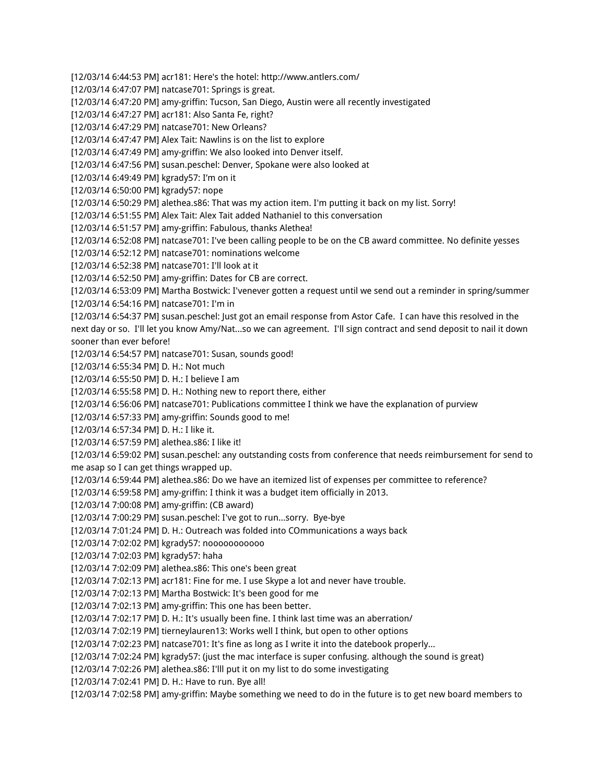[12/03/14 6:44:53 PM] acr181: Here's the hotel: http://www.antlers.com/

[12/03/14 6:47:07 PM] natcase701: Springs is great.

[12/03/14 6:47:20 PM] amy-griffin: Tucson, San Diego, Austin were all recently investigated

[12/03/14 6:47:27 PM] acr181: Also Santa Fe, right?

[12/03/14 6:47:29 PM] natcase701: New Orleans?

[12/03/14 6:47:47 PM] Alex Tait: Nawlins is on the list to explore

[12/03/14 6:47:49 PM] amy-griffin: We also looked into Denver itself.

[12/03/14 6:47:56 PM] susan.peschel: Denver, Spokane were also looked at

[12/03/14 6:49:49 PM] kgrady57: I'm on it

[12/03/14 6:50:00 PM] kgrady57: nope

[12/03/14 6:50:29 PM] alethea.s86: That was my action item. I'm putting it back on my list. Sorry!

[12/03/14 6:51:55 PM] Alex Tait: Alex Tait added Nathaniel to this conversation

[12/03/14 6:51:57 PM] amy-griffin: Fabulous, thanks Alethea!

[12/03/14 6:52:08 PM] natcase701: I've been calling people to be on the CB award committee. No definite yesses

[12/03/14 6:52:12 PM] natcase701: nominations welcome

[12/03/14 6:52:38 PM] natcase701: I'll look at it

[12/03/14 6:52:50 PM] amy-griffin: Dates for CB are correct.

[12/03/14 6:53:09 PM] Martha Bostwick: I'venever gotten a request until we send out a reminder in spring/summer [12/03/14 6:54:16 PM] natcase701: I'm in

[12/03/14 6:54:37 PM] susan.peschel: Just got an email response from Astor Cafe. I can have this resolved in the next day or so. I'll let you know Amy/Nat...so we can agreement. I'll sign contract and send deposit to nail it down sooner than ever before!

[12/03/14 6:54:57 PM] natcase701: Susan, sounds good!

[12/03/14 6:55:34 PM] D. H.: Not much

[12/03/14 6:55:50 PM] D. H.: I believe I am

[12/03/14 6:55:58 PM] D. H.: Nothing new to report there, either

[12/03/14 6:56:06 PM] natcase701: Publications committee I think we have the explanation of purview

[12/03/14 6:57:33 PM] amy-griffin: Sounds good to me!

[12/03/14 6:57:34 PM] D. H.: I like it.

[12/03/14 6:57:59 PM] alethea.s86: I like it!

[12/03/14 6:59:02 PM] susan.peschel: any outstanding costs from conference that needs reimbursement for send to me asap so I can get things wrapped up.

[12/03/14 6:59:44 PM] alethea.s86: Do we have an itemized list of expenses per committee to reference?

[12/03/14 6:59:58 PM] amy-griffin: I think it was a budget item officially in 2013.

[12/03/14 7:00:08 PM] amy-griffin: (CB award)

[12/03/14 7:00:29 PM] susan.peschel: I've got to run...sorry. Bye-bye

[12/03/14 7:01:24 PM] D. H.: Outreach was folded into COmmunications a ways back

[12/03/14 7:02:02 PM] kgrady57: nooooooooooo

[12/03/14 7:02:03 PM] kgrady57: haha

[12/03/14 7:02:09 PM] alethea.s86: This one's been great

[12/03/14 7:02:13 PM] acr181: Fine for me. I use Skype a lot and never have trouble.

[12/03/14 7:02:13 PM] Martha Bostwick: It's been good for me

[12/03/14 7:02:13 PM] amy-griffin: This one has been better.

[12/03/14 7:02:17 PM] D. H.: It's usually been fine. I think last time was an aberration/

[12/03/14 7:02:19 PM] tierneylauren13: Works well I think, but open to other options

[12/03/14 7:02:23 PM] natcase701: It's fine as long as I write it into the datebook properly...

[12/03/14 7:02:24 PM] kgrady57: (just the mac interface is super confusing. although the sound is great)

[12/03/14 7:02:26 PM] alethea.s86: I'lll put it on my list to do some investigating

[12/03/14 7:02:41 PM] D. H.: Have to run. Bye all!

[12/03/14 7:02:58 PM] amy-griffin: Maybe something we need to do in the future is to get new board members to